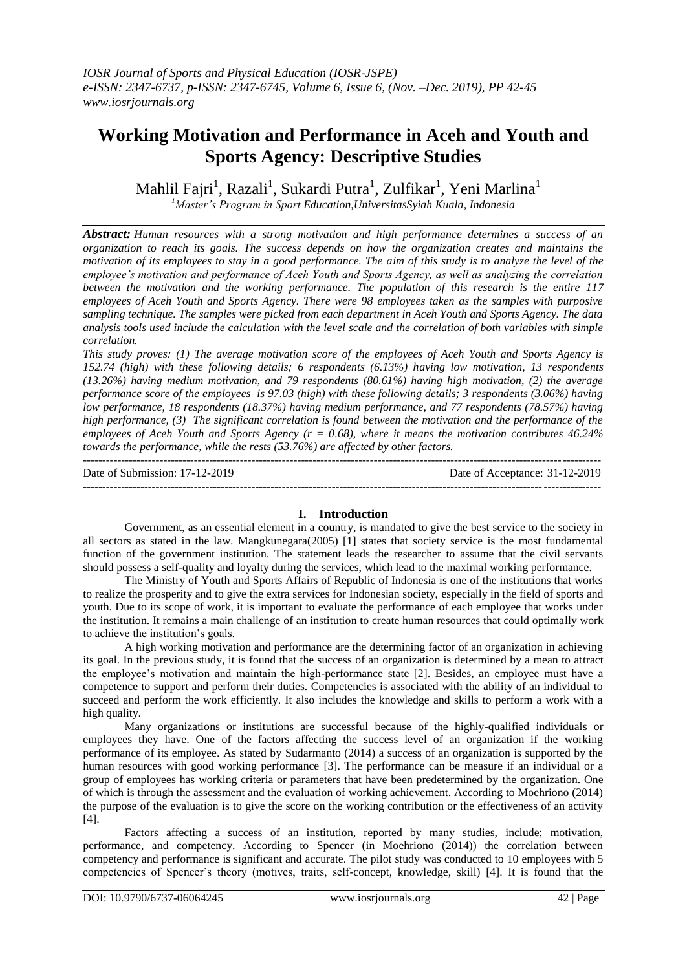# **Working Motivation and Performance in Aceh and Youth and Sports Agency: Descriptive Studies**

Mahlil Fajri<sup>1</sup>, Razali<sup>1</sup>, Sukardi Putra<sup>1</sup>, Zulfikar<sup>1</sup>, Yeni Marlina<sup>1</sup>

*<sup>1</sup>Master's Program in Sport Education,UniversitasSyiah Kuala, Indonesia*

*Abstract: Human resources with a strong motivation and high performance determines a success of an organization to reach its goals. The success depends on how the organization creates and maintains the motivation of its employees to stay in a good performance. The aim of this study is to analyze the level of the employee's motivation and performance of Aceh Youth and Sports Agency, as well as analyzing the correlation between the motivation and the working performance. The population of this research is the entire 117 employees of Aceh Youth and Sports Agency. There were 98 employees taken as the samples with purposive sampling technique. The samples were picked from each department in Aceh Youth and Sports Agency. The data analysis tools used include the calculation with the level scale and the correlation of both variables with simple correlation.* 

*This study proves: (1) The average motivation score of the employees of Aceh Youth and Sports Agency is 152.74 (high) with these following details; 6 respondents (6.13%) having low motivation, 13 respondents (13.26%) having medium motivation, and 79 respondents (80.61%) having high motivation, (2) the average performance score of the employees is 97.03 (high) with these following details; 3 respondents (3.06%) having low performance, 18 respondents (18.37%) having medium performance, and 77 respondents (78.57%) having high performance, (3) The significant correlation is found between the motivation and the performance of the employees of Aceh Youth and Sports Agency (r = 0.68), where it means the motivation contributes 46.24% towards the performance, while the rests (53.76%) are affected by other factors.* ---------------------------------------------------------------------------------------------------------------------------------------

Date of Submission: 17-12-2019 Date of Acceptance: 31-12-2019

---------------------------------------------------------------------------------------------------------------------------------------

# **I. Introduction**

Government, as an essential element in a country, is mandated to give the best service to the society in all sectors as stated in the law. Mangkunegara(2005) [1] states that society service is the most fundamental function of the government institution. The statement leads the researcher to assume that the civil servants should possess a self-quality and loyalty during the services, which lead to the maximal working performance.

The Ministry of Youth and Sports Affairs of Republic of Indonesia is one of the institutions that works to realize the prosperity and to give the extra services for Indonesian society, especially in the field of sports and youth. Due to its scope of work, it is important to evaluate the performance of each employee that works under the institution. It remains a main challenge of an institution to create human resources that could optimally work to achieve the institution's goals.

A high working motivation and performance are the determining factor of an organization in achieving its goal. In the previous study, it is found that the success of an organization is determined by a mean to attract the employee's motivation and maintain the high-performance state [2]. Besides, an employee must have a competence to support and perform their duties. Competencies is associated with the ability of an individual to succeed and perform the work efficiently. It also includes the knowledge and skills to perform a work with a high quality.

Many organizations or institutions are successful because of the highly-qualified individuals or employees they have. One of the factors affecting the success level of an organization if the working performance of its employee. As stated by Sudarmanto (2014) a success of an organization is supported by the human resources with good working performance [3]. The performance can be measure if an individual or a group of employees has working criteria or parameters that have been predetermined by the organization. One of which is through the assessment and the evaluation of working achievement. According to Moehriono (2014) the purpose of the evaluation is to give the score on the working contribution or the effectiveness of an activity [4].

Factors affecting a success of an institution, reported by many studies, include; motivation, performance, and competency. According to Spencer (in Moehriono (2014)) the correlation between competency and performance is significant and accurate. The pilot study was conducted to 10 employees with 5 competencies of Spencer's theory (motives, traits, self-concept, knowledge, skill) [4]. It is found that the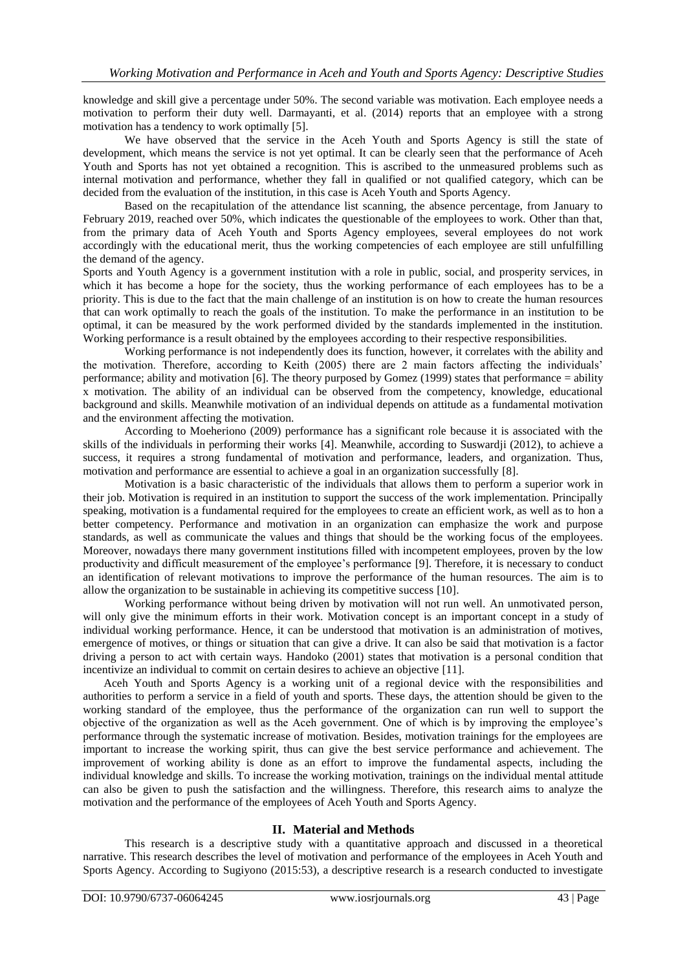knowledge and skill give a percentage under 50%. The second variable was motivation. Each employee needs a motivation to perform their duty well. Darmayanti, et al. (2014) reports that an employee with a strong motivation has a tendency to work optimally [5].

We have observed that the service in the Aceh Youth and Sports Agency is still the state of development, which means the service is not yet optimal. It can be clearly seen that the performance of Aceh Youth and Sports has not yet obtained a recognition. This is ascribed to the unmeasured problems such as internal motivation and performance, whether they fall in qualified or not qualified category, which can be decided from the evaluation of the institution, in this case is Aceh Youth and Sports Agency.

Based on the recapitulation of the attendance list scanning, the absence percentage, from January to February 2019, reached over 50%, which indicates the questionable of the employees to work. Other than that, from the primary data of Aceh Youth and Sports Agency employees, several employees do not work accordingly with the educational merit, thus the working competencies of each employee are still unfulfilling the demand of the agency.

Sports and Youth Agency is a government institution with a role in public, social, and prosperity services, in which it has become a hope for the society, thus the working performance of each employees has to be a priority. This is due to the fact that the main challenge of an institution is on how to create the human resources that can work optimally to reach the goals of the institution. To make the performance in an institution to be optimal, it can be measured by the work performed divided by the standards implemented in the institution. Working performance is a result obtained by the employees according to their respective responsibilities.

Working performance is not independently does its function, however, it correlates with the ability and the motivation. Therefore, according to Keith (2005) there are 2 main factors affecting the individuals' performance; ability and motivation [6]. The theory purposed by Gomez (1999) states that performance = ability x motivation. The ability of an individual can be observed from the competency, knowledge, educational background and skills. Meanwhile motivation of an individual depends on attitude as a fundamental motivation and the environment affecting the motivation.

According to Moeheriono (2009) performance has a significant role because it is associated with the skills of the individuals in performing their works [4]. Meanwhile, according to Suswardji (2012), to achieve a success, it requires a strong fundamental of motivation and performance, leaders, and organization. Thus, motivation and performance are essential to achieve a goal in an organization successfully [8].

Motivation is a basic characteristic of the individuals that allows them to perform a superior work in their job. Motivation is required in an institution to support the success of the work implementation. Principally speaking, motivation is a fundamental required for the employees to create an efficient work, as well as to hon a better competency. Performance and motivation in an organization can emphasize the work and purpose standards, as well as communicate the values and things that should be the working focus of the employees. Moreover, nowadays there many government institutions filled with incompetent employees, proven by the low productivity and difficult measurement of the employee's performance [9]. Therefore, it is necessary to conduct an identification of relevant motivations to improve the performance of the human resources. The aim is to allow the organization to be sustainable in achieving its competitive success [10].

Working performance without being driven by motivation will not run well. An unmotivated person, will only give the minimum efforts in their work. Motivation concept is an important concept in a study of individual working performance. Hence, it can be understood that motivation is an administration of motives, emergence of motives, or things or situation that can give a drive. It can also be said that motivation is a factor driving a person to act with certain ways. Handoko (2001) states that motivation is a personal condition that incentivize an individual to commit on certain desires to achieve an objective [11].

Aceh Youth and Sports Agency is a working unit of a regional device with the responsibilities and authorities to perform a service in a field of youth and sports. These days, the attention should be given to the working standard of the employee, thus the performance of the organization can run well to support the objective of the organization as well as the Aceh government. One of which is by improving the employee's performance through the systematic increase of motivation. Besides, motivation trainings for the employees are important to increase the working spirit, thus can give the best service performance and achievement. The improvement of working ability is done as an effort to improve the fundamental aspects, including the individual knowledge and skills. To increase the working motivation, trainings on the individual mental attitude can also be given to push the satisfaction and the willingness. Therefore, this research aims to analyze the motivation and the performance of the employees of Aceh Youth and Sports Agency.

# **II. Material and Methods**

This research is a descriptive study with a quantitative approach and discussed in a theoretical narrative. This research describes the level of motivation and performance of the employees in Aceh Youth and Sports Agency. According to Sugiyono (2015:53), a descriptive research is a research conducted to investigate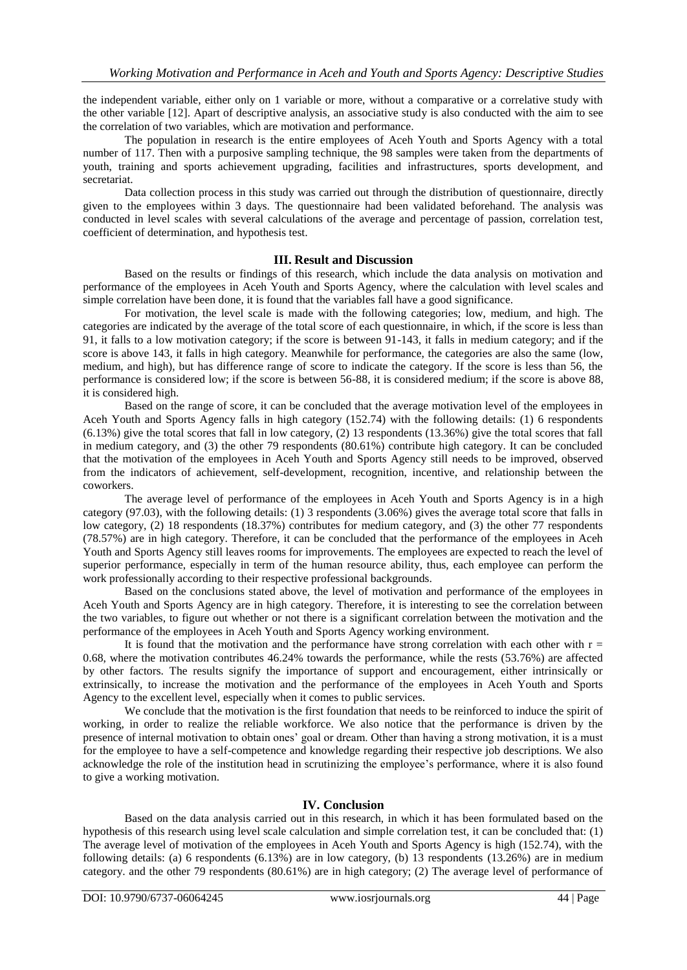the independent variable, either only on 1 variable or more, without a comparative or a correlative study with the other variable [12]. Apart of descriptive analysis, an associative study is also conducted with the aim to see the correlation of two variables, which are motivation and performance.

The population in research is the entire employees of Aceh Youth and Sports Agency with a total number of 117. Then with a purposive sampling technique, the 98 samples were taken from the departments of youth, training and sports achievement upgrading, facilities and infrastructures, sports development, and secretariat.

Data collection process in this study was carried out through the distribution of questionnaire, directly given to the employees within 3 days. The questionnaire had been validated beforehand. The analysis was conducted in level scales with several calculations of the average and percentage of passion, correlation test, coefficient of determination, and hypothesis test.

# **III. Result and Discussion**

Based on the results or findings of this research, which include the data analysis on motivation and performance of the employees in Aceh Youth and Sports Agency, where the calculation with level scales and simple correlation have been done, it is found that the variables fall have a good significance.

For motivation, the level scale is made with the following categories; low, medium, and high. The categories are indicated by the average of the total score of each questionnaire, in which, if the score is less than 91, it falls to a low motivation category; if the score is between 91-143, it falls in medium category; and if the score is above 143, it falls in high category. Meanwhile for performance, the categories are also the same (low, medium, and high), but has difference range of score to indicate the category. If the score is less than 56, the performance is considered low; if the score is between 56-88, it is considered medium; if the score is above 88, it is considered high.

Based on the range of score, it can be concluded that the average motivation level of the employees in Aceh Youth and Sports Agency falls in high category (152.74) with the following details: (1) 6 respondents (6.13%) give the total scores that fall in low category, (2) 13 respondents (13.36%) give the total scores that fall in medium category, and (3) the other 79 respondents (80.61%) contribute high category. It can be concluded that the motivation of the employees in Aceh Youth and Sports Agency still needs to be improved, observed from the indicators of achievement, self-development, recognition, incentive, and relationship between the coworkers.

The average level of performance of the employees in Aceh Youth and Sports Agency is in a high category (97.03), with the following details: (1) 3 respondents (3.06%) gives the average total score that falls in low category, (2) 18 respondents (18.37%) contributes for medium category, and (3) the other 77 respondents (78.57%) are in high category. Therefore, it can be concluded that the performance of the employees in Aceh Youth and Sports Agency still leaves rooms for improvements. The employees are expected to reach the level of superior performance, especially in term of the human resource ability, thus, each employee can perform the work professionally according to their respective professional backgrounds.

Based on the conclusions stated above, the level of motivation and performance of the employees in Aceh Youth and Sports Agency are in high category. Therefore, it is interesting to see the correlation between the two variables, to figure out whether or not there is a significant correlation between the motivation and the performance of the employees in Aceh Youth and Sports Agency working environment.

It is found that the motivation and the performance have strong correlation with each other with  $r =$ 0.68, where the motivation contributes 46.24% towards the performance, while the rests (53.76%) are affected by other factors. The results signify the importance of support and encouragement, either intrinsically or extrinsically, to increase the motivation and the performance of the employees in Aceh Youth and Sports Agency to the excellent level, especially when it comes to public services.

We conclude that the motivation is the first foundation that needs to be reinforced to induce the spirit of working, in order to realize the reliable workforce. We also notice that the performance is driven by the presence of internal motivation to obtain ones' goal or dream. Other than having a strong motivation, it is a must for the employee to have a self-competence and knowledge regarding their respective job descriptions. We also acknowledge the role of the institution head in scrutinizing the employee's performance, where it is also found to give a working motivation.

# **IV. Conclusion**

Based on the data analysis carried out in this research, in which it has been formulated based on the hypothesis of this research using level scale calculation and simple correlation test, it can be concluded that: (1) The average level of motivation of the employees in Aceh Youth and Sports Agency is high (152.74), with the following details: (a) 6 respondents (6.13%) are in low category, (b) 13 respondents (13.26%) are in medium category. and the other 79 respondents (80.61%) are in high category; (2) The average level of performance of